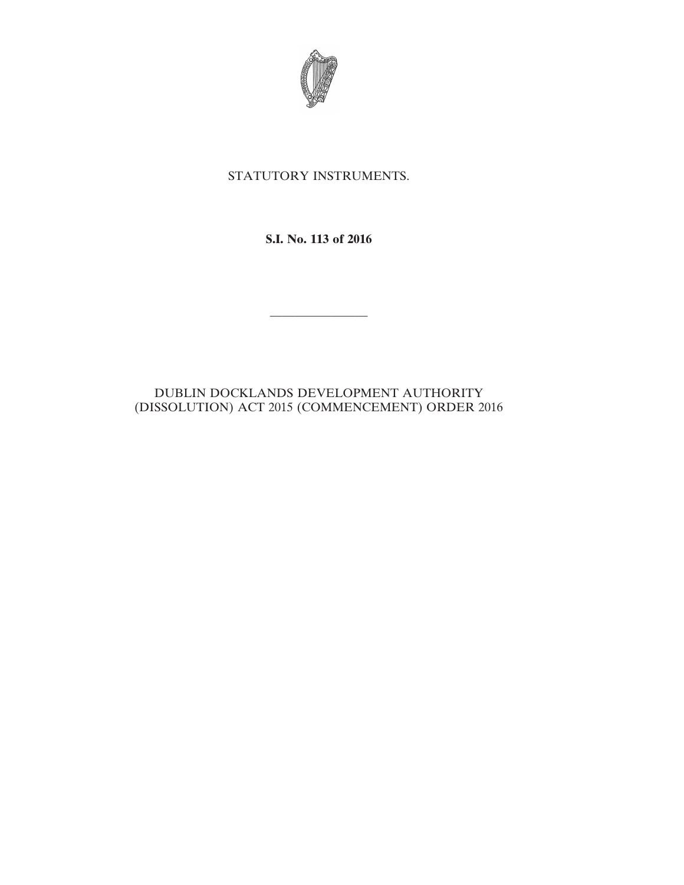

# STATUTORY INSTRUMENTS.

## **S.I. No. 113 of 2016**

————————

## DUBLIN DOCKLANDS DEVELOPMENT AUTHORITY (DISSOLUTION) ACT 2015 (COMMENCEMENT) ORDER 2016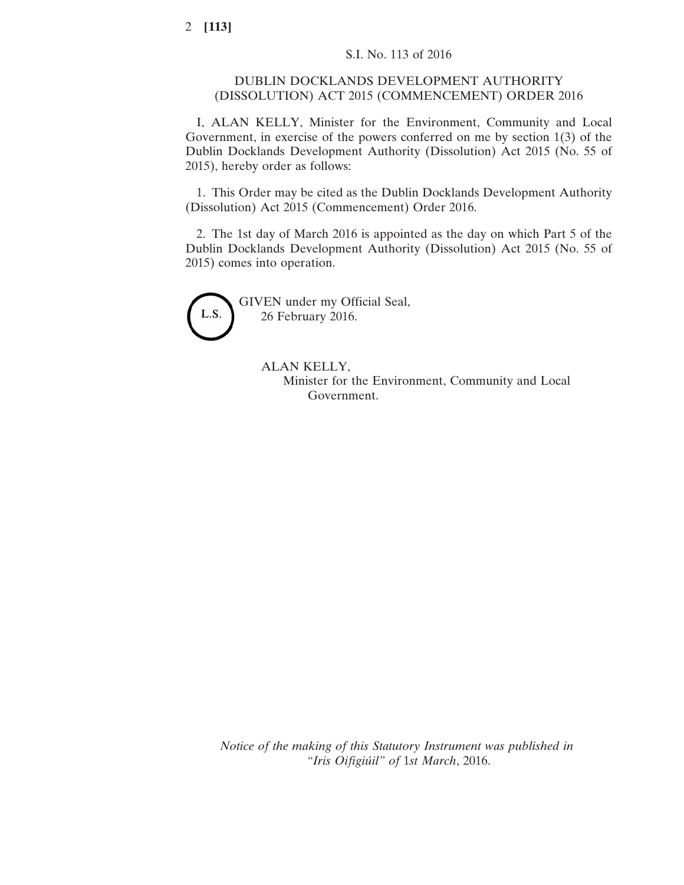#### DUBLIN DOCKLANDS DEVELOPMENT AUTHORITY (DISSOLUTION) ACT 2015 (COMMENCEMENT) ORDER 2016

I, ALAN KELLY, Minister for the Environment, Community and Local Government, in exercise of the powers conferred on me by section 1(3) of the Dublin Docklands Development Authority (Dissolution) Act 2015 (No. 55 of 2015), hereby order as follows:

1. This Order may be cited as the Dublin Docklands Development Authority (Dissolution) Act 2015 (Commencement) Order 2016.

2. The 1st day of March 2016 is appointed as the day on which Part 5 of the Dublin Docklands Development Authority (Dissolution) Act 2015 (No. 55 of 2015) comes into operation.



GIVEN under my Official Seal, 26 February 2016.

> ALAN KELLY, Minister for the Environment, Community and Local Government.

*Notice of the making of this Statutory Instrument was published in "Iris Oifigiúil" of* 1*st March*, 2016.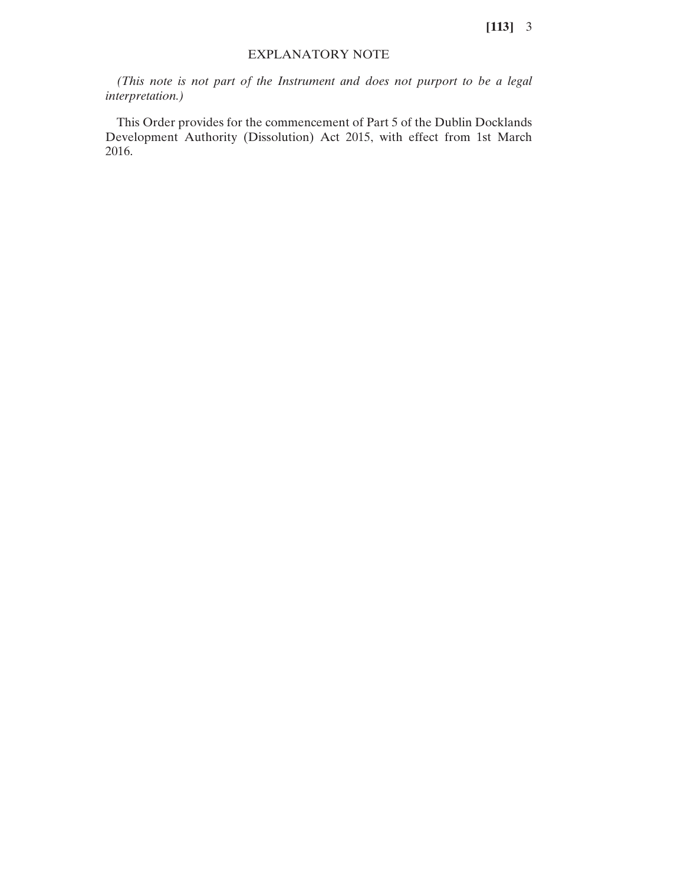**[113]** 3

#### EXPLANATORY NOTE

*(This note is not part of the Instrument and does not purport to be a legal interpretation.)*

This Order provides for the commencement of Part 5 of the Dublin Docklands Development Authority (Dissolution) Act 2015, with effect from 1st March 2016.